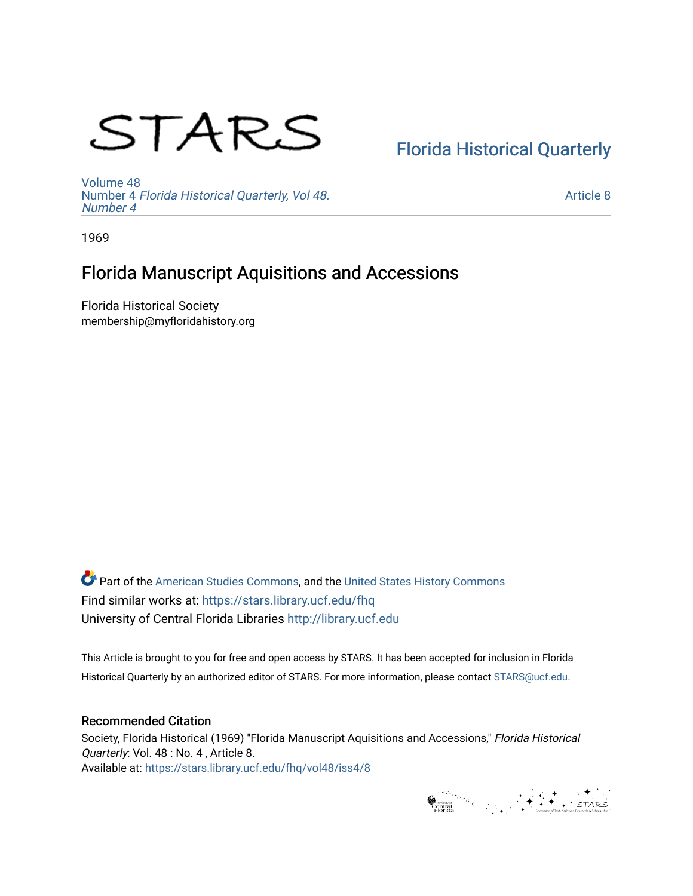# STARS

## [Florida Historical Quarterly](https://stars.library.ucf.edu/fhq)

[Volume 48](https://stars.library.ucf.edu/fhq/vol48) Number 4 [Florida Historical Quarterly, Vol 48.](https://stars.library.ucf.edu/fhq/vol48/iss4) [Number 4](https://stars.library.ucf.edu/fhq/vol48/iss4)

[Article 8](https://stars.library.ucf.edu/fhq/vol48/iss4/8) 

1969

## Florida Manuscript Aquisitions and Accessions

Florida Historical Society membership@myfloridahistory.org

**C** Part of the [American Studies Commons](http://network.bepress.com/hgg/discipline/439?utm_source=stars.library.ucf.edu%2Ffhq%2Fvol48%2Fiss4%2F8&utm_medium=PDF&utm_campaign=PDFCoverPages), and the United States History Commons Find similar works at: <https://stars.library.ucf.edu/fhq> University of Central Florida Libraries [http://library.ucf.edu](http://library.ucf.edu/) 

This Article is brought to you for free and open access by STARS. It has been accepted for inclusion in Florida Historical Quarterly by an authorized editor of STARS. For more information, please contact [STARS@ucf.edu.](mailto:STARS@ucf.edu)

### Recommended Citation

Society, Florida Historical (1969) "Florida Manuscript Aquisitions and Accessions," Florida Historical Quarterly: Vol. 48 : No. 4, Article 8. Available at: [https://stars.library.ucf.edu/fhq/vol48/iss4/8](https://stars.library.ucf.edu/fhq/vol48/iss4/8?utm_source=stars.library.ucf.edu%2Ffhq%2Fvol48%2Fiss4%2F8&utm_medium=PDF&utm_campaign=PDFCoverPages) 

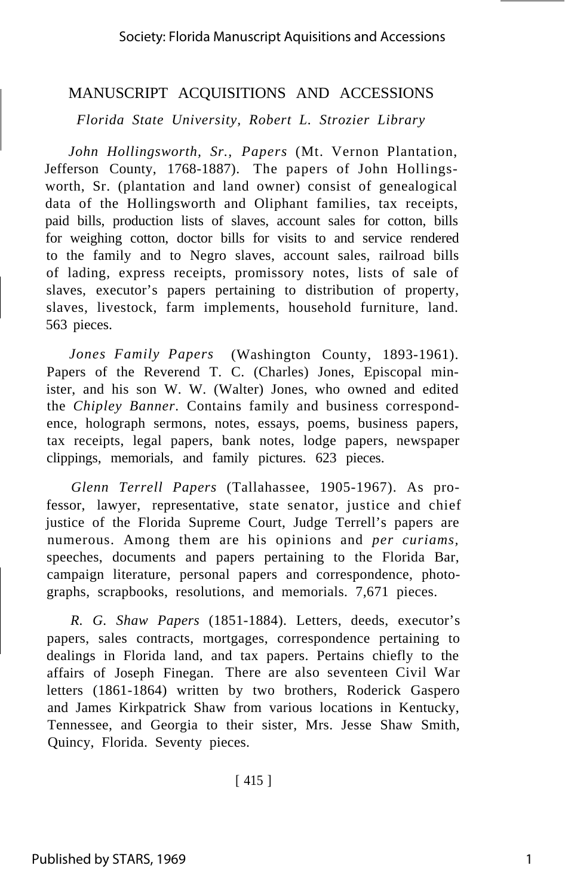#### MANUSCRIPT ACQUISITIONS AND ACCESSIONS

*Florida State University, Robert L. Strozier Library*

*John Hollingsworth, Sr., Papers* (Mt. Vernon Plantation, Jefferson County, 1768-1887). The papers of John Hollingsworth, Sr. (plantation and land owner) consist of genealogical data of the Hollingsworth and Oliphant families, tax receipts, paid bills, production lists of slaves, account sales for cotton, bills for weighing cotton, doctor bills for visits to and service rendered to the family and to Negro slaves, account sales, railroad bills of lading, express receipts, promissory notes, lists of sale of slaves, executor's papers pertaining to distribution of property, slaves, livestock, farm implements, household furniture, land. 563 pieces.

*Jones Family Papers* (Washington County, 1893-1961). Papers of the Reverend T. C. (Charles) Jones, Episcopal minister, and his son W. W. (Walter) Jones, who owned and edited the *Chipley Banner.* Contains family and business correspondence, holograph sermons, notes, essays, poems, business papers, tax receipts, legal papers, bank notes, lodge papers, newspaper clippings, memorials, and family pictures. 623 pieces.

*Glenn Terrell Papers* (Tallahassee, 1905-1967). As professor, lawyer, representative, state senator, justice and chief justice of the Florida Supreme Court, Judge Terrell's papers are numerous. Among them are his opinions and *per curiams,* speeches, documents and papers pertaining to the Florida Bar, campaign literature, personal papers and correspondence, photographs, scrapbooks, resolutions, and memorials. 7,671 pieces.

*R. G. Shaw Papers* (1851-1884). Letters, deeds, executor's papers, sales contracts, mortgages, correspondence pertaining to dealings in Florida land, and tax papers. Pertains chiefly to the affairs of Joseph Finegan. There are also seventeen Civil War letters (1861-1864) written by two brothers, Roderick Gaspero and James Kirkpatrick Shaw from various locations in Kentucky, Tennessee, and Georgia to their sister, Mrs. Jesse Shaw Smith, Quincy, Florida. Seventy pieces.

[ 415 ]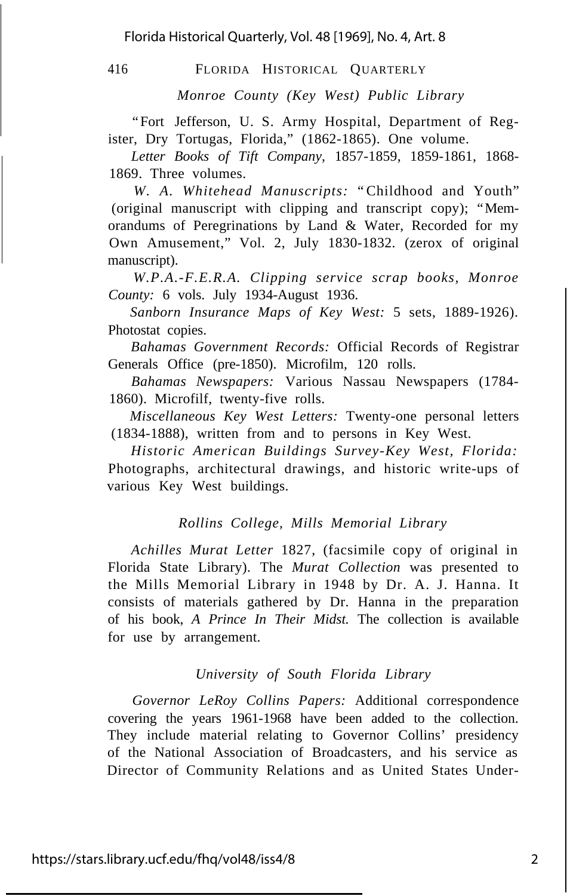416 FLORIDA HISTORICAL QUARTERLY

*Monroe County (Key West) Public Library*

"Fort Jefferson, U. S. Army Hospital, Department of Register, Dry Tortugas, Florida," (1862-1865). One volume.

*Letter Books of Tift Company,* 1857-1859, 1859-1861, 1868- 1869. Three volumes.

*W. A. Whitehead Manuscripts:* "Childhood and Youth" (original manuscript with clipping and transcript copy); "Memorandums of Peregrinations by Land & Water, Recorded for my Own Amusement," Vol. 2, July 1830-1832. (zerox of original manuscript).

*W.P.A.-F.E.R.A. Clipping service scrap books, Monroe County:* 6 vols. July 1934-August 1936.

*Sanborn Insurance Maps of Key West:* 5 sets, 1889-1926). Photostat copies.

*Bahamas Government Records:* Official Records of Registrar Generals Office (pre-1850). Microfilm, 120 rolls.

*Bahamas Newspapers:* Various Nassau Newspapers (1784- 1860). Microfilf, twenty-five rolls.

*Miscellaneous Key West Letters:* Twenty-one personal letters (1834-1888), written from and to persons in Key West.

*Historic American Buildings Survey-Key West, Florida:* Photographs, architectural drawings, and historic write-ups of various Key West buildings.

#### *Rollins College, Mills Memorial Library*

*Achilles Murat Letter* 1827, (facsimile copy of original in Florida State Library). The *Murat Collection* was presented to the Mills Memorial Library in 1948 by Dr. A. J. Hanna. It consists of materials gathered by Dr. Hanna in the preparation of his book, *A Prince In Their Midst.* The collection is available for use by arrangement.

#### *University of South Florida Library*

*Governor LeRoy Collins Papers:* Additional correspondence covering the years 1961-1968 have been added to the collection. They include material relating to Governor Collins' presidency of the National Association of Broadcasters, and his service as Director of Community Relations and as United States Under-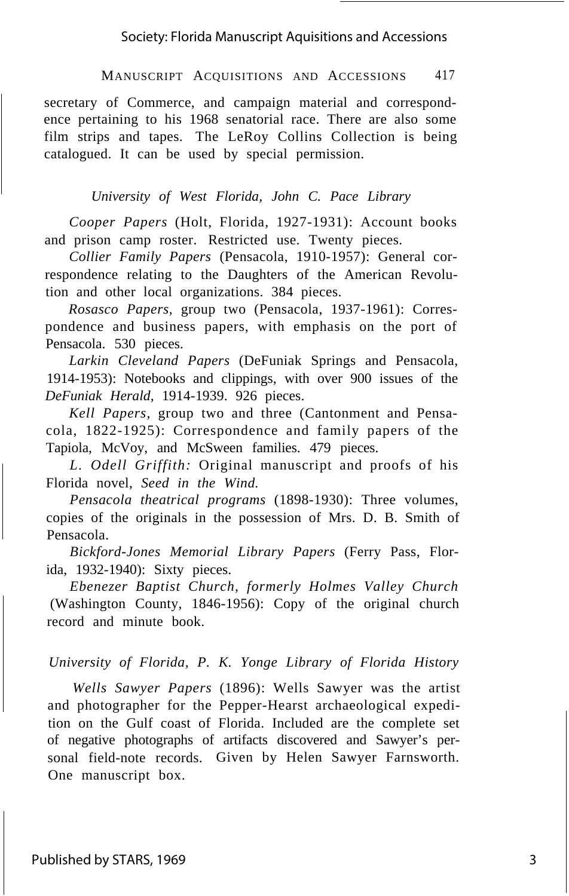#### MANUSCRIPT ACQUISITIONS AND ACCESSIONS 417

secretary of Commerce, and campaign material and correspondence pertaining to his 1968 senatorial race. There are also some film strips and tapes. The LeRoy Collins Collection is being catalogued. It can be used by special permission.

#### *University of West Florida, John C. Pace Library*

*Cooper Papers* (Holt, Florida, 1927-1931): Account books and prison camp roster. Restricted use. Twenty pieces.

*Collier Family Papers* (Pensacola, 1910-1957): General correspondence relating to the Daughters of the American Revolution and other local organizations. 384 pieces.

*Rosasco Papers,* group two (Pensacola, 1937-1961): Correspondence and business papers, with emphasis on the port of Pensacola. 530 pieces.

*Larkin Cleveland Papers* (DeFuniak Springs and Pensacola, 1914-1953): Notebooks and clippings, with over 900 issues of the *DeFuniak Herald,* 1914-1939. 926 pieces.

*Kell Papers,* group two and three (Cantonment and Pensacola, 1822-1925): Correspondence and family papers of the Tapiola, McVoy, and McSween families. 479 pieces.

*L. Odell Griffith:* Original manuscript and proofs of his Florida novel, *Seed in the Wind.*

*Pensacola theatrical programs* (1898-1930): Three volumes, copies of the originals in the possession of Mrs. D. B. Smith of Pensacola.

*Bickford-Jones Memorial Library Papers* (Ferry Pass, Florida, 1932-1940): Sixty pieces.

*Ebenezer Baptist Church, formerly Holmes Valley Church* (Washington County, 1846-1956): Copy of the original church record and minute book.

#### *University of Florida, P. K. Yonge Library of Florida History*

*Wells Sawyer Papers* (1896): Wells Sawyer was the artist and photographer for the Pepper-Hearst archaeological expedition on the Gulf coast of Florida. Included are the complete set of negative photographs of artifacts discovered and Sawyer's personal field-note records. Given by Helen Sawyer Farnsworth. One manuscript box.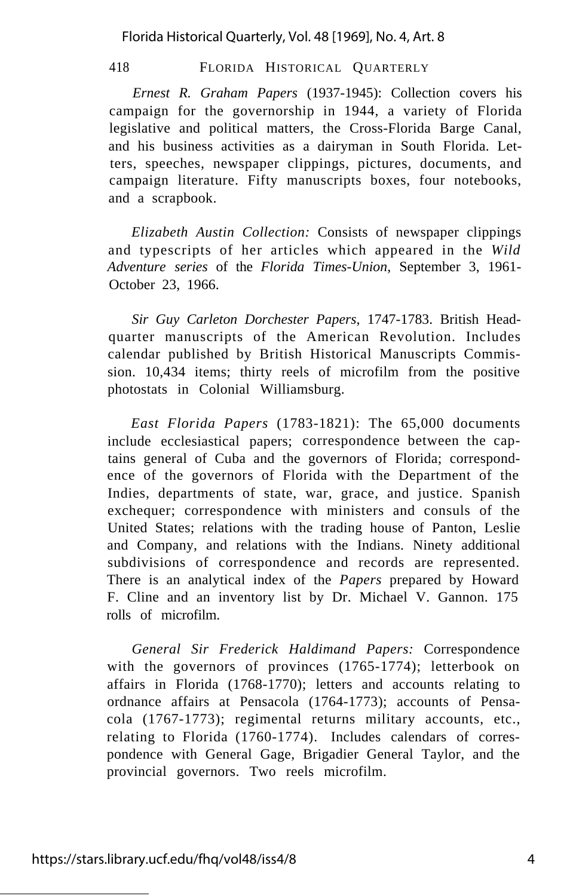Florida Historical Quarterly, Vol. 48 [1969], No. 4, Art. 8

418 FLORIDA HISTORICAL QUARTERLY

*Ernest R. Graham Papers* (1937-1945): Collection covers his campaign for the governorship in 1944, a variety of Florida legislative and political matters, the Cross-Florida Barge Canal, and his business activities as a dairyman in South Florida. Letters, speeches, newspaper clippings, pictures, documents, and campaign literature. Fifty manuscripts boxes, four notebooks, and a scrapbook.

*Elizabeth Austin Collection:* Consists of newspaper clippings and typescripts of her articles which appeared in the *Wild Adventure series* of the *Florida Times-Union,* September 3, 1961- October 23, 1966.

*Sir Guy Carleton Dorchester Papers,* 1747-1783. British Headquarter manuscripts of the American Revolution. Includes calendar published by British Historical Manuscripts Commission. 10,434 items; thirty reels of microfilm from the positive photostats in Colonial Williamsburg.

*East Florida Papers* (1783-1821): The 65,000 documents include ecclesiastical papers; correspondence between the captains general of Cuba and the governors of Florida; correspondence of the governors of Florida with the Department of the Indies, departments of state, war, grace, and justice. Spanish exchequer; correspondence with ministers and consuls of the United States; relations with the trading house of Panton, Leslie and Company, and relations with the Indians. Ninety additional subdivisions of correspondence and records are represented. There is an analytical index of the *Papers* prepared by Howard F. Cline and an inventory list by Dr. Michael V. Gannon. 175 rolls of microfilm.

*General Sir Frederick Haldimand Papers:* Correspondence with the governors of provinces (1765-1774); letterbook on affairs in Florida (1768-1770); letters and accounts relating to ordnance affairs at Pensacola (1764-1773); accounts of Pensacola (1767-1773); regimental returns military accounts, etc., relating to Florida (1760-1774). Includes calendars of correspondence with General Gage, Brigadier General Taylor, and the provincial governors. Two reels microfilm.